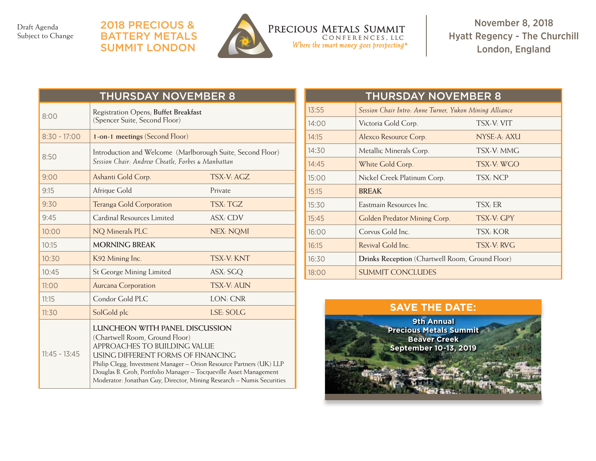Draft Agenda Subject to Change

## 2018 Precious & **BATTERY METALS** Summit LONDON



PRECIOUS METALS SUMMIT CONFERENCES, LLC Where the smart money goes prospecting<sup>®</sup>

November 8, 2018 Hyatt Regency - The Churchill London, England

| <b>THURSDAY NOVEMBER 8</b> |                                                                                                                                                                                                                                                                                                                                                             |                  |  |  |
|----------------------------|-------------------------------------------------------------------------------------------------------------------------------------------------------------------------------------------------------------------------------------------------------------------------------------------------------------------------------------------------------------|------------------|--|--|
| 8:00                       | Registration Opens; Buffet Breakfast<br>(Spencer Suite, Second Floor)                                                                                                                                                                                                                                                                                       |                  |  |  |
| $8:30 - 17:00$             | 1-on-1 meetings (Second Floor)                                                                                                                                                                                                                                                                                                                              |                  |  |  |
| 8:50                       | Introduction and Welcome (Marlborough Suite, Second Floor)<br>Session Chair: Andrew Cheatle, Forbes & Manhattan                                                                                                                                                                                                                                             |                  |  |  |
| 9:00                       | Ashanti Gold Corp.                                                                                                                                                                                                                                                                                                                                          | TSX-V: AGZ       |  |  |
| 9:15                       | Afrique Gold                                                                                                                                                                                                                                                                                                                                                | Private          |  |  |
| 9:30                       | <b>Teranga Gold Corporation</b>                                                                                                                                                                                                                                                                                                                             | TSX: TGZ         |  |  |
| 9:45                       | Cardinal Resources Limited                                                                                                                                                                                                                                                                                                                                  | ASX: CDV         |  |  |
| 10:00                      | NQ Minerals PLC                                                                                                                                                                                                                                                                                                                                             | <b>NEX: NQMI</b> |  |  |
| 10:15                      | <b>MORNING BREAK</b>                                                                                                                                                                                                                                                                                                                                        |                  |  |  |
| 10:30                      | K92 Mining Inc.                                                                                                                                                                                                                                                                                                                                             | <b>TSX-V KNT</b> |  |  |
| 10:45                      | <b>St George Mining Limited</b>                                                                                                                                                                                                                                                                                                                             | ASX: SGQ         |  |  |
| 11:00                      | <b>Aurcana Corporation</b>                                                                                                                                                                                                                                                                                                                                  | <b>TSX-V-AUN</b> |  |  |
| 11:15                      | Condor Gold PLC                                                                                                                                                                                                                                                                                                                                             | LON: CNR         |  |  |
| 11:30                      | SolGold plc                                                                                                                                                                                                                                                                                                                                                 | LSE: SOLG        |  |  |
| $11:45 - 13:45$            | LUNCHEON WITH PANEL DISCUSSION<br>(Chartwell Room, Ground Floor)<br>APPROACHES TO BUILDING VALUE<br>USING DIFFERENT FORMS OF FINANCING<br>Philip Clegg, Investment Manager - Orion Resource Partners (UK) LLP<br>Douglas B. Groh, Portfolio Manager - Tocqueville Asset Management<br>Moderator: Jonathan Guy, Director, Mining Research - Numis Securities |                  |  |  |

| <b>THURSDAY NOVEMBER 8</b> |                                                         |             |  |  |
|----------------------------|---------------------------------------------------------|-------------|--|--|
| 13:55                      | Session Chair Intro: Anne Turner, Yukon Mining Alliance |             |  |  |
| 14:00                      | Victoria Gold Corp.                                     | TSX-V: VIT  |  |  |
| 14:15                      | Alexco Resource Corp.                                   | NYSE-A: AXU |  |  |
| 14:30                      | Metallic Minerals Corp.                                 | TSX-V: MMG  |  |  |
| 14:45                      | White Gold Corp.                                        | TSX-V: WGO  |  |  |
| 15:00                      | Nickel Creek Platinum Corp.                             | TSX: NCP    |  |  |
| 15:15                      | <b>BREAK</b>                                            |             |  |  |
| 15:30                      | Eastmain Resources Inc.                                 | TSX: ER     |  |  |
| 15:45                      | Golden Predator Mining Corp.                            | TSX-V: GPY  |  |  |
| 16:00                      | Corvus Gold Inc.                                        | TSX: KOR    |  |  |
| 16:15                      | Revival Gold Inc.                                       | TSX-V: RVG  |  |  |
| 16:30                      | <b>Drinks Reception</b> (Chartwell Room, Ground Floor)  |             |  |  |
| 18:00                      | <b>SUMMIT CONCLUDES</b>                                 |             |  |  |